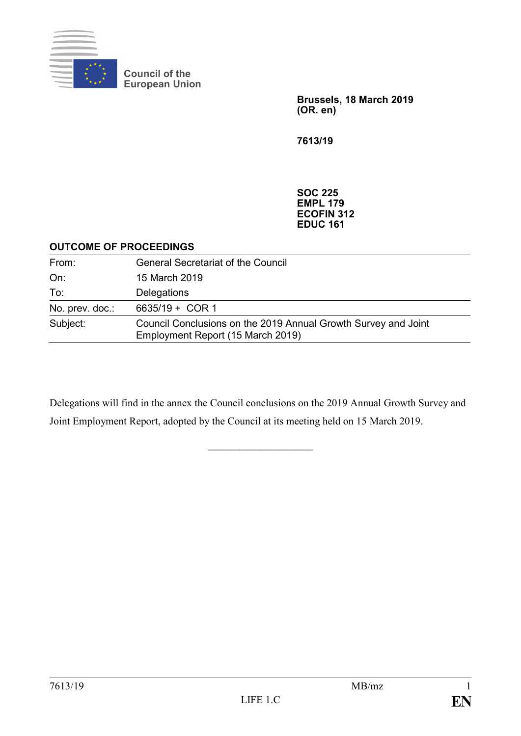

**Council of the European Union**

> **Brussels, 18 March 2019 (OR. en)**

**7613/19**

**SOC 225 EMPL 179 ECOFIN 312 EDUC 161**

#### **OUTCOME OF PROCEEDINGS**

| From:           | <b>General Secretariat of the Council</b>                                                           |
|-----------------|-----------------------------------------------------------------------------------------------------|
| On:             | 15 March 2019                                                                                       |
| To:             | Delegations                                                                                         |
| No. prev. doc.: | 6635/19 + COR 1                                                                                     |
| Subject:        | Council Conclusions on the 2019 Annual Growth Survey and Joint<br>Employment Report (15 March 2019) |

Delegations will find in the annex the Council conclusions on the 2019 Annual Growth Survey and Joint Employment Report, adopted by the Council at its meeting held on 15 March 2019.

 $\overline{\phantom{a}}$  , and the set of the set of the set of the set of the set of the set of the set of the set of the set of the set of the set of the set of the set of the set of the set of the set of the set of the set of the s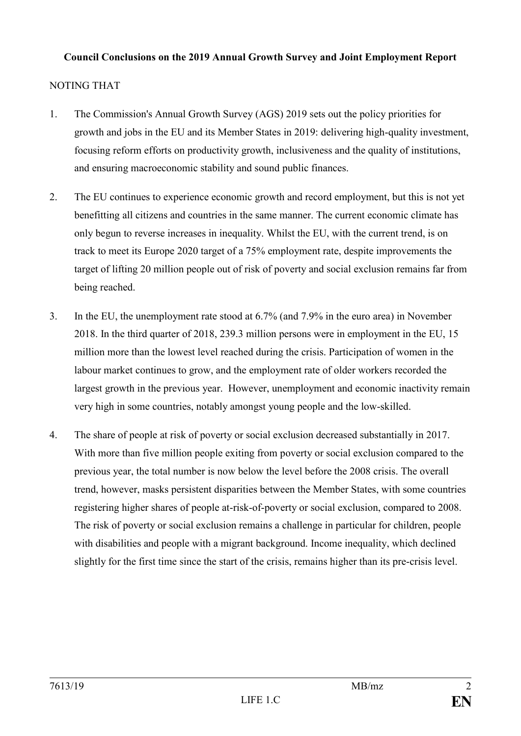### **Council Conclusions on the 2019 Annual Growth Survey and Joint Employment Report**

## NOTING THAT

- 1. The Commission's Annual Growth Survey (AGS) 2019 sets out the policy priorities for growth and jobs in the EU and its Member States in 2019: delivering high-quality investment, focusing reform efforts on productivity growth, inclusiveness and the quality of institutions, and ensuring macroeconomic stability and sound public finances.
- 2. The EU continues to experience economic growth and record employment, but this is not yet benefitting all citizens and countries in the same manner. The current economic climate has only begun to reverse increases in inequality. Whilst the EU, with the current trend, is on track to meet its Europe 2020 target of a 75% employment rate, despite improvements the target of lifting 20 million people out of risk of poverty and social exclusion remains far from being reached.
- 3. In the EU, the unemployment rate stood at 6.7% (and 7.9% in the euro area) in November 2018. In the third quarter of 2018, 239.3 million persons were in employment in the EU, 15 million more than the lowest level reached during the crisis. Participation of women in the labour market continues to grow, and the employment rate of older workers recorded the largest growth in the previous year. However, unemployment and economic inactivity remain very high in some countries, notably amongst young people and the low-skilled.
- 4. The share of people at risk of poverty or social exclusion decreased substantially in 2017. With more than five million people exiting from poverty or social exclusion compared to the previous year, the total number is now below the level before the 2008 crisis. The overall trend, however, masks persistent disparities between the Member States, with some countries registering higher shares of people at-risk-of-poverty or social exclusion, compared to 2008. The risk of poverty or social exclusion remains a challenge in particular for children, people with disabilities and people with a migrant background. Income inequality, which declined slightly for the first time since the start of the crisis, remains higher than its pre-crisis level.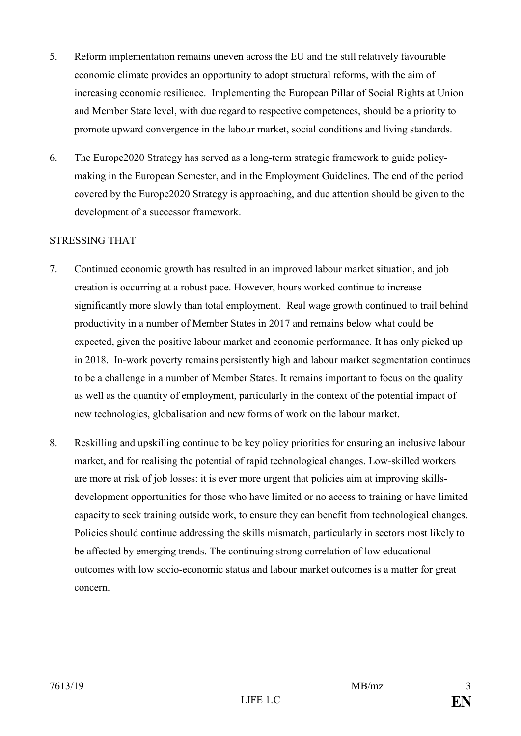- 5. Reform implementation remains uneven across the EU and the still relatively favourable economic climate provides an opportunity to adopt structural reforms, with the aim of increasing economic resilience. Implementing the European Pillar of Social Rights at Union and Member State level, with due regard to respective competences, should be a priority to promote upward convergence in the labour market, social conditions and living standards.
- 6. The Europe2020 Strategy has served as a long-term strategic framework to guide policymaking in the European Semester, and in the Employment Guidelines. The end of the period covered by the Europe2020 Strategy is approaching, and due attention should be given to the development of a successor framework.

### STRESSING THAT

- 7. Continued economic growth has resulted in an improved labour market situation, and job creation is occurring at a robust pace. However, hours worked continue to increase significantly more slowly than total employment. Real wage growth continued to trail behind productivity in a number of Member States in 2017 and remains below what could be expected, given the positive labour market and economic performance. It has only picked up in 2018. In-work poverty remains persistently high and labour market segmentation continues to be a challenge in a number of Member States. It remains important to focus on the quality as well as the quantity of employment, particularly in the context of the potential impact of new technologies, globalisation and new forms of work on the labour market.
- 8. Reskilling and upskilling continue to be key policy priorities for ensuring an inclusive labour market, and for realising the potential of rapid technological changes. Low-skilled workers are more at risk of job losses: it is ever more urgent that policies aim at improving skillsdevelopment opportunities for those who have limited or no access to training or have limited capacity to seek training outside work, to ensure they can benefit from technological changes. Policies should continue addressing the skills mismatch, particularly in sectors most likely to be affected by emerging trends. The continuing strong correlation of low educational outcomes with low socio-economic status and labour market outcomes is a matter for great concern.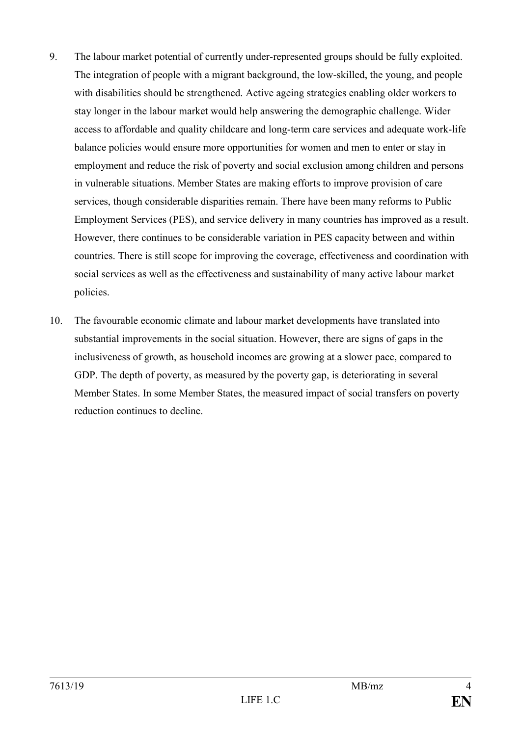- 9. The labour market potential of currently under-represented groups should be fully exploited. The integration of people with a migrant background, the low-skilled, the young, and people with disabilities should be strengthened. Active ageing strategies enabling older workers to stay longer in the labour market would help answering the demographic challenge. Wider access to affordable and quality childcare and long-term care services and adequate work-life balance policies would ensure more opportunities for women and men to enter or stay in employment and reduce the risk of poverty and social exclusion among children and persons in vulnerable situations. Member States are making efforts to improve provision of care services, though considerable disparities remain. There have been many reforms to Public Employment Services (PES), and service delivery in many countries has improved as a result. However, there continues to be considerable variation in PES capacity between and within countries. There is still scope for improving the coverage, effectiveness and coordination with social services as well as the effectiveness and sustainability of many active labour market policies.
- 10. The favourable economic climate and labour market developments have translated into substantial improvements in the social situation. However, there are signs of gaps in the inclusiveness of growth, as household incomes are growing at a slower pace, compared to GDP. The depth of poverty, as measured by the poverty gap, is deteriorating in several Member States. In some Member States, the measured impact of social transfers on poverty reduction continues to decline.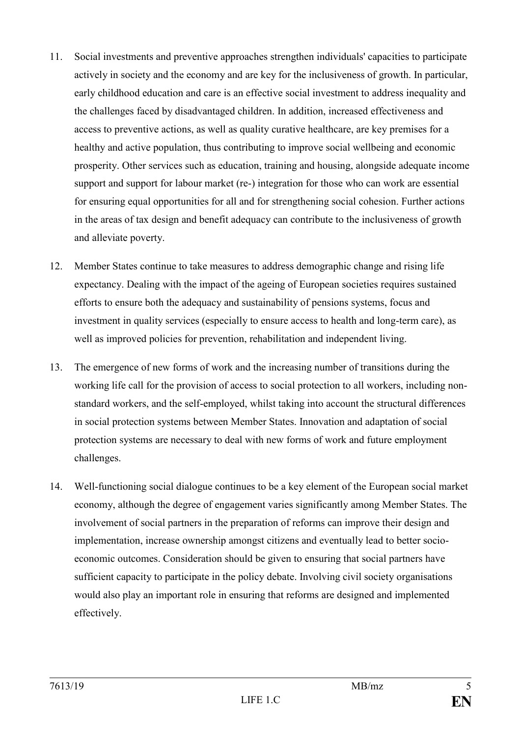- 11. Social investments and preventive approaches strengthen individuals' capacities to participate actively in society and the economy and are key for the inclusiveness of growth. In particular, early childhood education and care is an effective social investment to address inequality and the challenges faced by disadvantaged children. In addition, increased effectiveness and access to preventive actions, as well as quality curative healthcare, are key premises for a healthy and active population, thus contributing to improve social wellbeing and economic prosperity. Other services such as education, training and housing, alongside adequate income support and support for labour market (re-) integration for those who can work are essential for ensuring equal opportunities for all and for strengthening social cohesion. Further actions in the areas of tax design and benefit adequacy can contribute to the inclusiveness of growth and alleviate poverty.
- 12. Member States continue to take measures to address demographic change and rising life expectancy. Dealing with the impact of the ageing of European societies requires sustained efforts to ensure both the adequacy and sustainability of pensions systems, focus and investment in quality services (especially to ensure access to health and long-term care), as well as improved policies for prevention, rehabilitation and independent living.
- 13. The emergence of new forms of work and the increasing number of transitions during the working life call for the provision of access to social protection to all workers, including nonstandard workers, and the self-employed, whilst taking into account the structural differences in social protection systems between Member States. Innovation and adaptation of social protection systems are necessary to deal with new forms of work and future employment challenges.
- 14. Well-functioning social dialogue continues to be a key element of the European social market economy, although the degree of engagement varies significantly among Member States. The involvement of social partners in the preparation of reforms can improve their design and implementation, increase ownership amongst citizens and eventually lead to better socioeconomic outcomes. Consideration should be given to ensuring that social partners have sufficient capacity to participate in the policy debate. Involving civil society organisations would also play an important role in ensuring that reforms are designed and implemented effectively.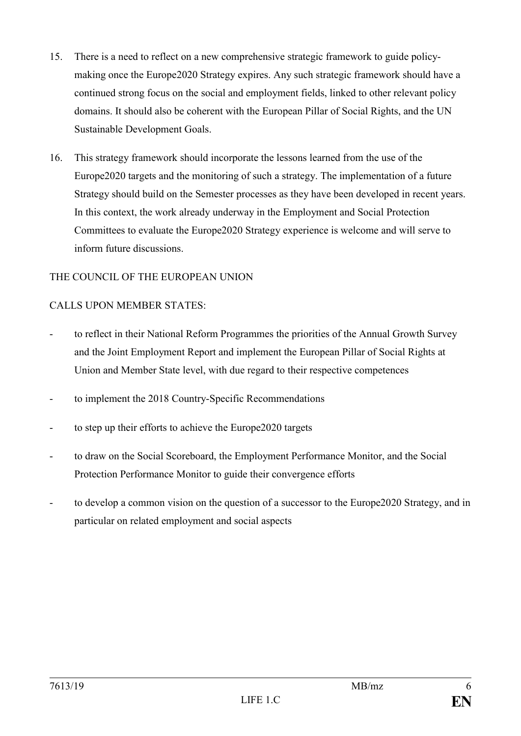- 15. There is a need to reflect on a new comprehensive strategic framework to guide policymaking once the Europe2020 Strategy expires. Any such strategic framework should have a continued strong focus on the social and employment fields, linked to other relevant policy domains. It should also be coherent with the European Pillar of Social Rights, and the UN Sustainable Development Goals.
- 16. This strategy framework should incorporate the lessons learned from the use of the Europe2020 targets and the monitoring of such a strategy. The implementation of a future Strategy should build on the Semester processes as they have been developed in recent years. In this context, the work already underway in the Employment and Social Protection Committees to evaluate the Europe2020 Strategy experience is welcome and will serve to inform future discussions.

## THE COUNCIL OF THE EUROPEAN UNION

### CALLS UPON MEMBER STATES:

- to reflect in their National Reform Programmes the priorities of the Annual Growth Survey and the Joint Employment Report and implement the European Pillar of Social Rights at Union and Member State level, with due regard to their respective competences
- to implement the 2018 Country-Specific Recommendations
- to step up their efforts to achieve the Europe2020 targets
- to draw on the Social Scoreboard, the Employment Performance Monitor, and the Social Protection Performance Monitor to guide their convergence efforts
- to develop a common vision on the question of a successor to the Europe2020 Strategy, and in particular on related employment and social aspects